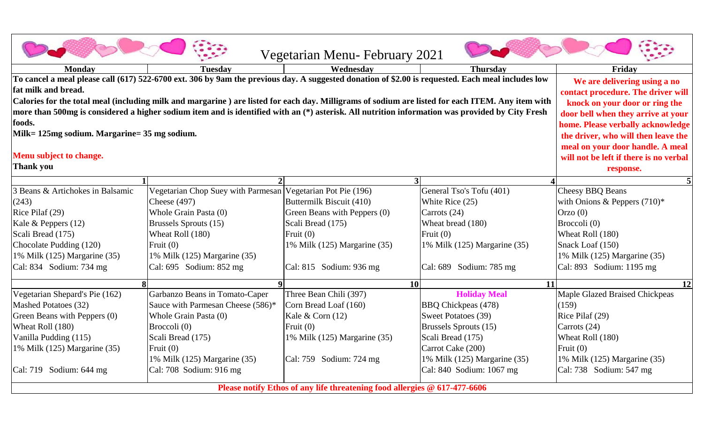|                                                                                                                                                                                                                                                                                                                                                                                                                                                                                 | Vegetarian Menu-February 2021                                                                        |                              |                              |                                                                                         |  |  |
|---------------------------------------------------------------------------------------------------------------------------------------------------------------------------------------------------------------------------------------------------------------------------------------------------------------------------------------------------------------------------------------------------------------------------------------------------------------------------------|------------------------------------------------------------------------------------------------------|------------------------------|------------------------------|-----------------------------------------------------------------------------------------|--|--|
| <b>Monday</b>                                                                                                                                                                                                                                                                                                                                                                                                                                                                   | <b>Tuesday</b>                                                                                       | Wednesdav                    | <b>Thursday</b>              | Friday                                                                                  |  |  |
| To cancel a meal please call (617) 522-6700 ext. 306 by 9am the previous day. A suggested donation of \$2.00 is requested. Each meal includes low<br>fat milk and bread.<br>Calories for the total meal (including milk and margarine) are listed for each day. Milligrams of sodium are listed for each ITEM. Any item with<br>more than 500mg is considered a higher sodium item and is identified with an (*) asterisk. All nutrition information was provided by City Fresh | We are delivering using a no<br>contact procedure. The driver will<br>knock on your door or ring the |                              |                              |                                                                                         |  |  |
| foods.                                                                                                                                                                                                                                                                                                                                                                                                                                                                          | door bell when they arrive at your<br>home. Please verbally acknowledge                              |                              |                              |                                                                                         |  |  |
| Milk= 125mg sodium. Margarine= 35 mg sodium.                                                                                                                                                                                                                                                                                                                                                                                                                                    | the driver, who will then leave the                                                                  |                              |                              |                                                                                         |  |  |
| Menu subject to change.<br><b>Thank you</b>                                                                                                                                                                                                                                                                                                                                                                                                                                     |                                                                                                      |                              |                              | meal on your door handle. A meal<br>will not be left if there is no verbal<br>response. |  |  |
|                                                                                                                                                                                                                                                                                                                                                                                                                                                                                 |                                                                                                      | 3                            |                              |                                                                                         |  |  |
| 3 Beans & Artichokes in Balsamic                                                                                                                                                                                                                                                                                                                                                                                                                                                | Vegetarian Chop Suey with Parmesan Vegetarian Pot Pie (196)                                          |                              | General Tso's Tofu (401)     | Cheesy BBQ Beans                                                                        |  |  |
| (243)                                                                                                                                                                                                                                                                                                                                                                                                                                                                           | Cheese (497)                                                                                         | Buttermilk Biscuit (410)     | White Rice (25)              | with Onions & Peppers $(710)^*$                                                         |  |  |
| Rice Pilaf (29)                                                                                                                                                                                                                                                                                                                                                                                                                                                                 | Whole Grain Pasta (0)                                                                                | Green Beans with Peppers (0) | Carrots (24)                 | Orzo(0)                                                                                 |  |  |
| Kale & Peppers (12)                                                                                                                                                                                                                                                                                                                                                                                                                                                             | Brussels Sprouts (15)                                                                                | Scali Bread (175)            | Wheat bread (180)            | Broccoli (0)                                                                            |  |  |
| Scali Bread (175)                                                                                                                                                                                                                                                                                                                                                                                                                                                               | Wheat Roll (180)                                                                                     | Fruit $(0)$                  | Fruit $(0)$                  | Wheat Roll (180)                                                                        |  |  |
| Chocolate Pudding (120)                                                                                                                                                                                                                                                                                                                                                                                                                                                         | Fruit $(0)$                                                                                          | 1% Milk (125) Margarine (35) | 1% Milk (125) Margarine (35) | Snack Loaf (150)                                                                        |  |  |
| 1% Milk (125) Margarine (35)                                                                                                                                                                                                                                                                                                                                                                                                                                                    | 1% Milk (125) Margarine (35)                                                                         |                              |                              | 1% Milk (125) Margarine (35)                                                            |  |  |
| Cal: 834 Sodium: 734 mg                                                                                                                                                                                                                                                                                                                                                                                                                                                         | Cal: 695 Sodium: 852 mg                                                                              | Cal: 815 Sodium: 936 mg      | Cal: 689 Sodium: 785 mg      | Cal: 893 Sodium: 1195 mg                                                                |  |  |
|                                                                                                                                                                                                                                                                                                                                                                                                                                                                                 | $\mathbf{o}$                                                                                         | <b>10</b>                    | <b>11</b>                    | 12                                                                                      |  |  |
| Vegetarian Shepard's Pie (162)                                                                                                                                                                                                                                                                                                                                                                                                                                                  | Garbanzo Beans in Tomato-Caper                                                                       | Three Bean Chili (397)       | <b>Holiday Meal</b>          | <b>Maple Glazed Braised Chickpeas</b>                                                   |  |  |
| Mashed Potatoes (32)                                                                                                                                                                                                                                                                                                                                                                                                                                                            | Sauce with Parmesan Cheese (586)*                                                                    | Corn Bread Loaf (160)        | <b>BBQ</b> Chickpeas (478)   | (159)                                                                                   |  |  |
| Green Beans with Peppers (0)                                                                                                                                                                                                                                                                                                                                                                                                                                                    | Whole Grain Pasta (0)                                                                                | Kale & Corn $(12)$           | Sweet Potatoes (39)          | Rice Pilaf (29)                                                                         |  |  |
| Wheat Roll (180)                                                                                                                                                                                                                                                                                                                                                                                                                                                                | Broccoli (0)                                                                                         | Fruit $(0)$                  | Brussels Sprouts (15)        | Carrots (24)                                                                            |  |  |
| Vanilla Pudding (115)                                                                                                                                                                                                                                                                                                                                                                                                                                                           | Scali Bread (175)                                                                                    | 1% Milk (125) Margarine (35) | Scali Bread (175)            | Wheat Roll (180)                                                                        |  |  |
| 1% Milk (125) Margarine (35)                                                                                                                                                                                                                                                                                                                                                                                                                                                    | Fruit $(0)$                                                                                          |                              | Carrot Cake (200)            | Fruit $(0)$                                                                             |  |  |
|                                                                                                                                                                                                                                                                                                                                                                                                                                                                                 | 1% Milk (125) Margarine (35)                                                                         | Cal: 759 Sodium: 724 mg      | 1% Milk (125) Margarine (35) | 1% Milk (125) Margarine (35)                                                            |  |  |
| Cal: 719 Sodium: 644 mg                                                                                                                                                                                                                                                                                                                                                                                                                                                         | Cal: 708 Sodium: 916 mg                                                                              |                              | Cal: 840 Sodium: 1067 mg     | Cal: 738 Sodium: 547 mg                                                                 |  |  |
| Please notify Ethos of any life threatening food allergies @ 617-477-6606                                                                                                                                                                                                                                                                                                                                                                                                       |                                                                                                      |                              |                              |                                                                                         |  |  |